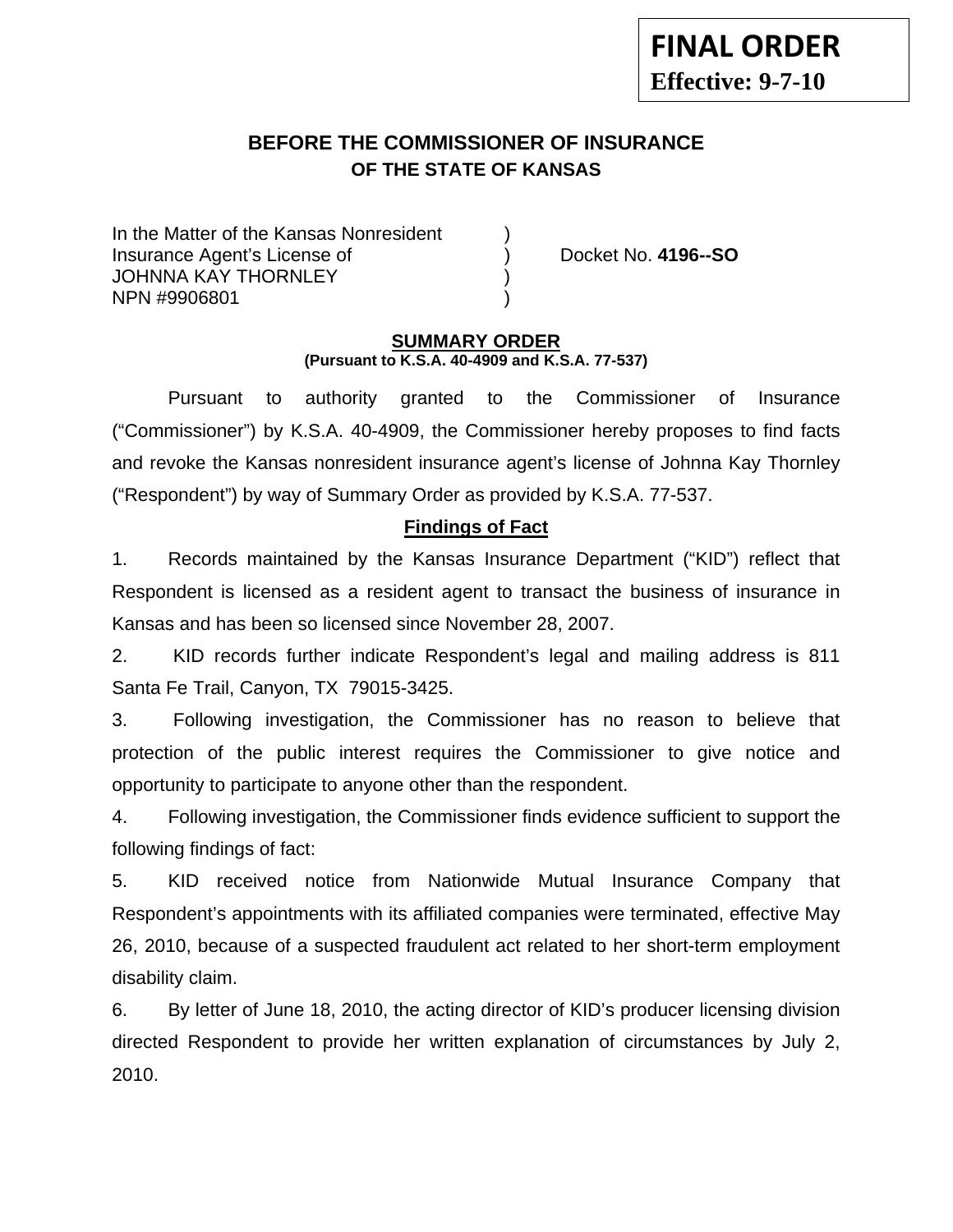# **BEFORE THE COMMISSIONER OF INSURANCE OF THE STATE OF KANSAS**

In the Matter of the Kansas Nonresident Insurance Agent's License of ) Docket No. **4196--SO** JOHNNA KAY THORNLEY NPN #9906801 )

### **SUMMARY ORDER (Pursuant to K.S.A. 40-4909 and K.S.A. 77-537)**

 Pursuant to authority granted to the Commissioner of Insurance ("Commissioner") by K.S.A. 40-4909, the Commissioner hereby proposes to find facts and revoke the Kansas nonresident insurance agent's license of Johnna Kay Thornley ("Respondent") by way of Summary Order as provided by K.S.A. 77-537.

## **Findings of Fact**

1. Records maintained by the Kansas Insurance Department ("KID") reflect that Respondent is licensed as a resident agent to transact the business of insurance in Kansas and has been so licensed since November 28, 2007.

2. KID records further indicate Respondent's legal and mailing address is 811 Santa Fe Trail, Canyon, TX 79015-3425.

3. Following investigation, the Commissioner has no reason to believe that protection of the public interest requires the Commissioner to give notice and opportunity to participate to anyone other than the respondent.

4. Following investigation, the Commissioner finds evidence sufficient to support the following findings of fact:

5. KID received notice from Nationwide Mutual Insurance Company that Respondent's appointments with its affiliated companies were terminated, effective May 26, 2010, because of a suspected fraudulent act related to her short-term employment disability claim.

6. By letter of June 18, 2010, the acting director of KID's producer licensing division directed Respondent to provide her written explanation of circumstances by July 2, 2010.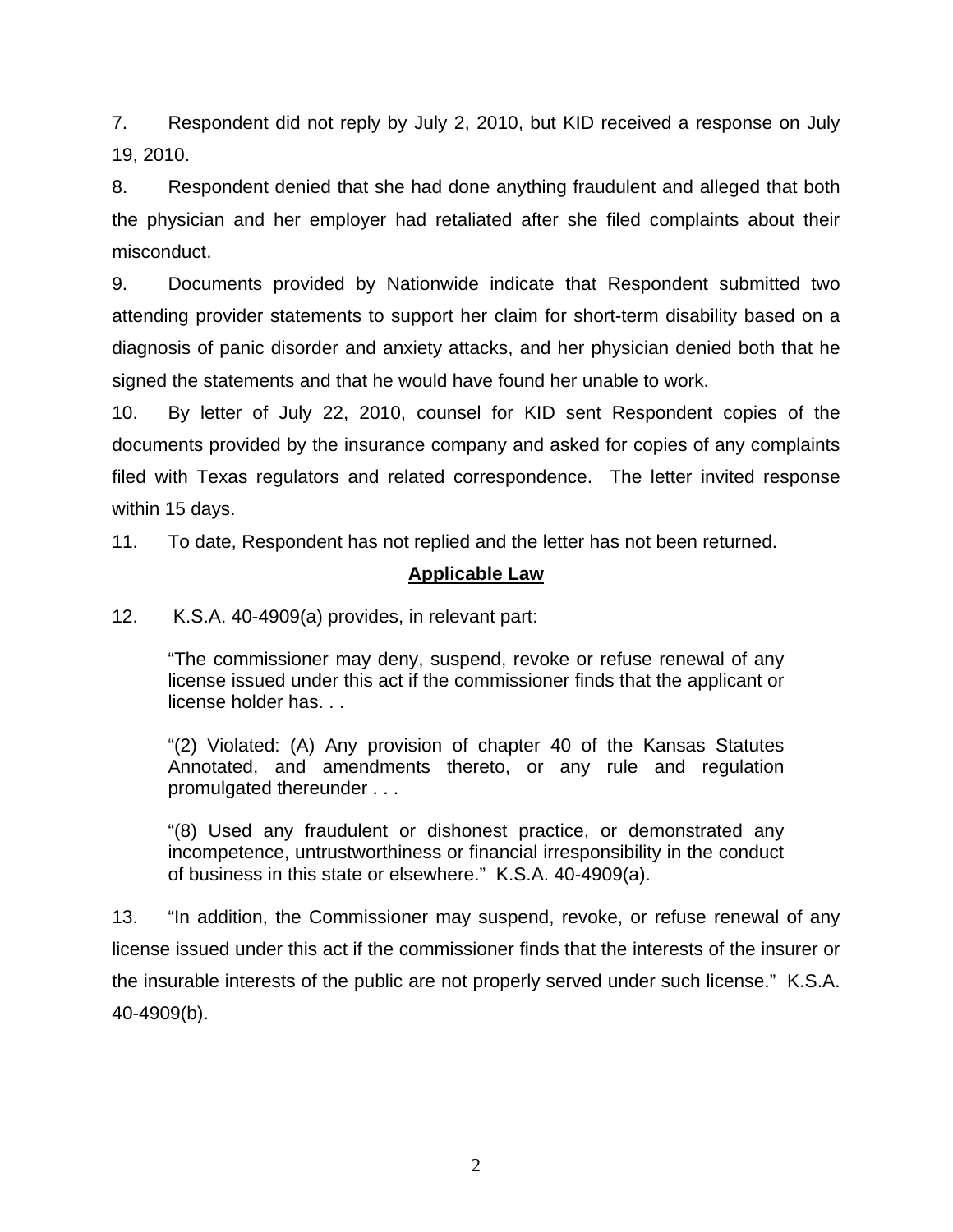7. Respondent did not reply by July 2, 2010, but KID received a response on July 19, 2010.

8. Respondent denied that she had done anything fraudulent and alleged that both the physician and her employer had retaliated after she filed complaints about their misconduct.

9. Documents provided by Nationwide indicate that Respondent submitted two attending provider statements to support her claim for short-term disability based on a diagnosis of panic disorder and anxiety attacks, and her physician denied both that he signed the statements and that he would have found her unable to work.

10. By letter of July 22, 2010, counsel for KID sent Respondent copies of the documents provided by the insurance company and asked for copies of any complaints filed with Texas regulators and related correspondence. The letter invited response within 15 days.

11. To date, Respondent has not replied and the letter has not been returned.

# **Applicable Law**

12. K.S.A. 40-4909(a) provides, in relevant part:

"The commissioner may deny, suspend, revoke or refuse renewal of any license issued under this act if the commissioner finds that the applicant or license holder has. . .

"(2) Violated: (A) Any provision of chapter 40 of the Kansas Statutes Annotated, and amendments thereto, or any rule and regulation promulgated thereunder . . .

"(8) Used any fraudulent or dishonest practice, or demonstrated any incompetence, untrustworthiness or financial irresponsibility in the conduct of business in this state or elsewhere." K.S.A. 40-4909(a).

13. "In addition, the Commissioner may suspend, revoke, or refuse renewal of any license issued under this act if the commissioner finds that the interests of the insurer or the insurable interests of the public are not properly served under such license." K.S.A. 40-4909(b).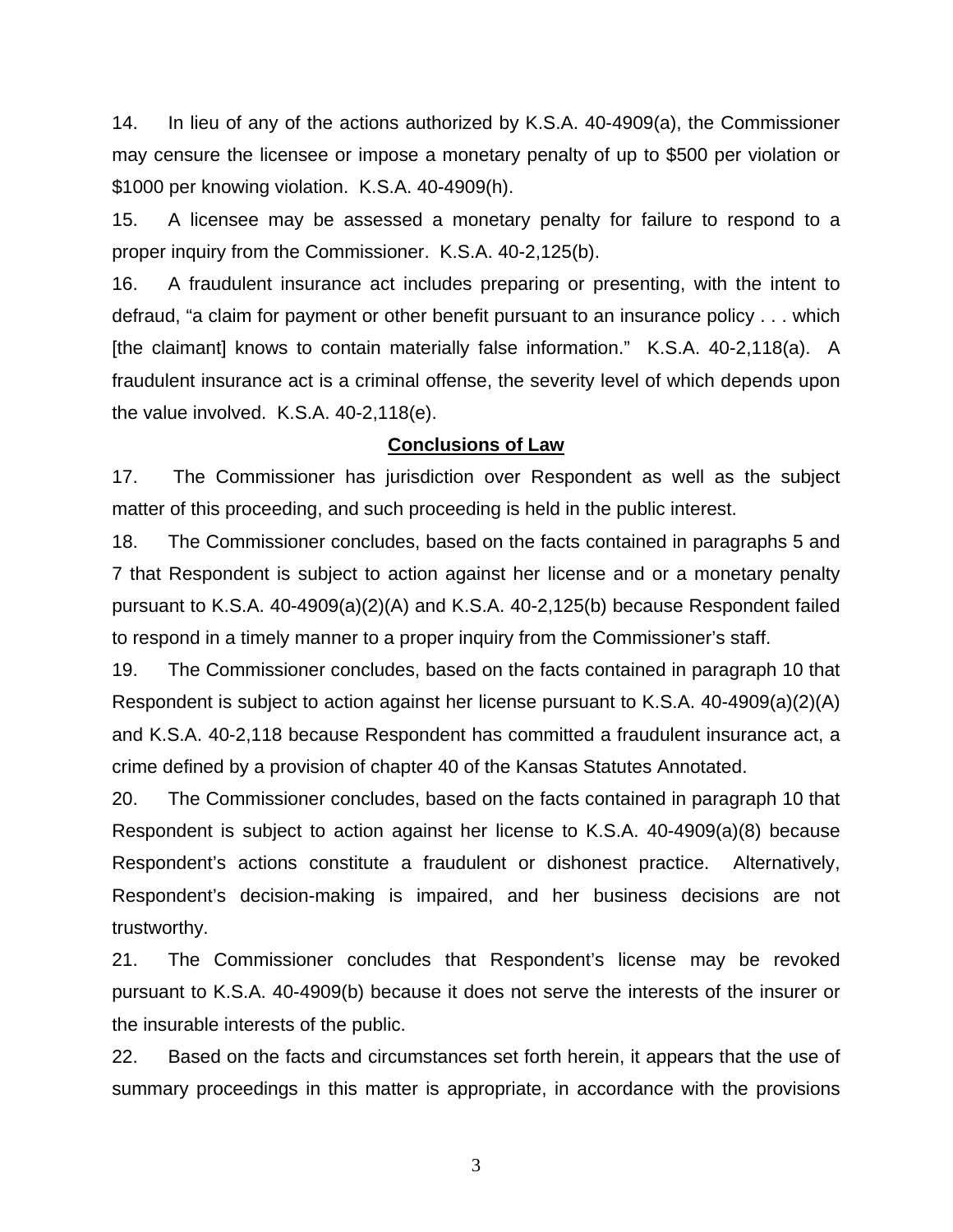14. In lieu of any of the actions authorized by K.S.A. 40-4909(a), the Commissioner may censure the licensee or impose a monetary penalty of up to \$500 per violation or \$1000 per knowing violation. K.S.A. 40-4909(h).

15. A licensee may be assessed a monetary penalty for failure to respond to a proper inquiry from the Commissioner. K.S.A. 40-2,125(b).

16. A fraudulent insurance act includes preparing or presenting, with the intent to defraud, "a claim for payment or other benefit pursuant to an insurance policy . . . which [the claimant] knows to contain materially false information." K.S.A. 40-2,118(a). A fraudulent insurance act is a criminal offense, the severity level of which depends upon the value involved. K.S.A. 40-2,118(e).

#### **Conclusions of Law**

17. The Commissioner has jurisdiction over Respondent as well as the subject matter of this proceeding, and such proceeding is held in the public interest.

18. The Commissioner concludes, based on the facts contained in paragraphs 5 and 7 that Respondent is subject to action against her license and or a monetary penalty pursuant to K.S.A. 40-4909(a)(2)(A) and K.S.A. 40-2,125(b) because Respondent failed to respond in a timely manner to a proper inquiry from the Commissioner's staff.

19. The Commissioner concludes, based on the facts contained in paragraph 10 that Respondent is subject to action against her license pursuant to K.S.A. 40-4909(a)(2)(A) and K.S.A. 40-2,118 because Respondent has committed a fraudulent insurance act, a crime defined by a provision of chapter 40 of the Kansas Statutes Annotated.

20. The Commissioner concludes, based on the facts contained in paragraph 10 that Respondent is subject to action against her license to K.S.A. 40-4909(a)(8) because Respondent's actions constitute a fraudulent or dishonest practice. Alternatively, Respondent's decision-making is impaired, and her business decisions are not trustworthy.

21. The Commissioner concludes that Respondent's license may be revoked pursuant to K.S.A. 40-4909(b) because it does not serve the interests of the insurer or the insurable interests of the public.

22. Based on the facts and circumstances set forth herein, it appears that the use of summary proceedings in this matter is appropriate, in accordance with the provisions

3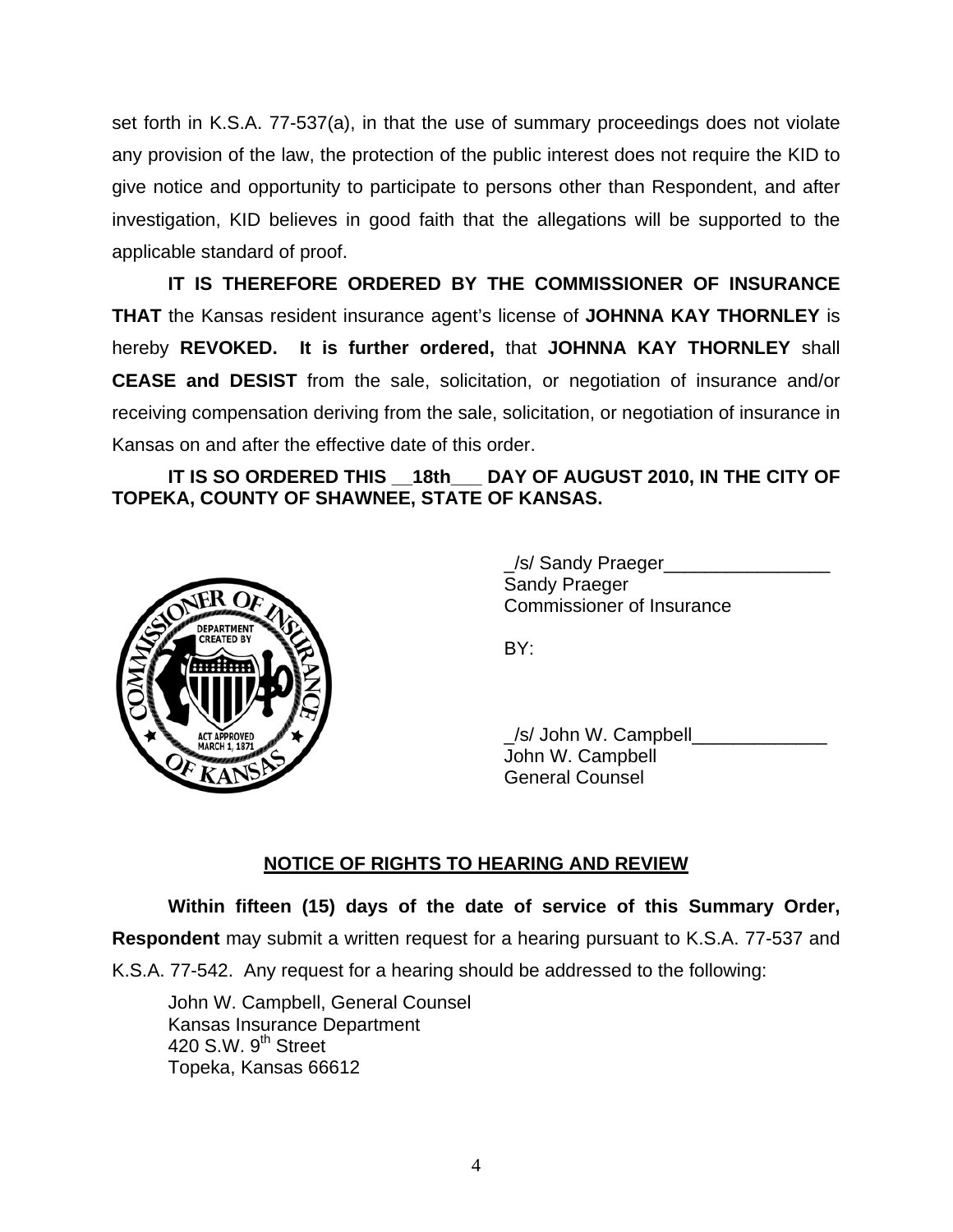set forth in K.S.A. 77-537(a), in that the use of summary proceedings does not violate any provision of the law, the protection of the public interest does not require the KID to give notice and opportunity to participate to persons other than Respondent, and after investigation, KID believes in good faith that the allegations will be supported to the applicable standard of proof.

 **IT IS THEREFORE ORDERED BY THE COMMISSIONER OF INSURANCE THAT** the Kansas resident insurance agent's license of **JOHNNA KAY THORNLEY** is hereby **REVOKED. It is further ordered,** that **JOHNNA KAY THORNLEY** shall **CEASE and DESIST** from the sale, solicitation, or negotiation of insurance and/or receiving compensation deriving from the sale, solicitation, or negotiation of insurance in Kansas on and after the effective date of this order.

## IT IS SO ORDERED THIS 18th DAY OF AUGUST 2010, IN THE CITY OF **TOPEKA, COUNTY OF SHAWNEE, STATE OF KANSAS.**



 \_/s/ Sandy Praeger\_\_\_\_\_\_\_\_\_\_\_\_\_\_\_\_ Sandy Praeger Commissioner of Insurance

 \_/s/ John W. Campbell\_\_\_\_\_\_\_\_\_\_\_\_\_ John W. Campbell General Counsel

# **NOTICE OF RIGHTS TO HEARING AND REVIEW**

**Within fifteen (15) days of the date of service of this Summary Order,** 

**Respondent** may submit a written request for a hearing pursuant to K.S.A. 77-537 and

K.S.A. 77-542. Any request for a hearing should be addressed to the following:

 John W. Campbell, General Counsel Kansas Insurance Department 420 S.W.  $9<sup>th</sup>$  Street Topeka, Kansas 66612